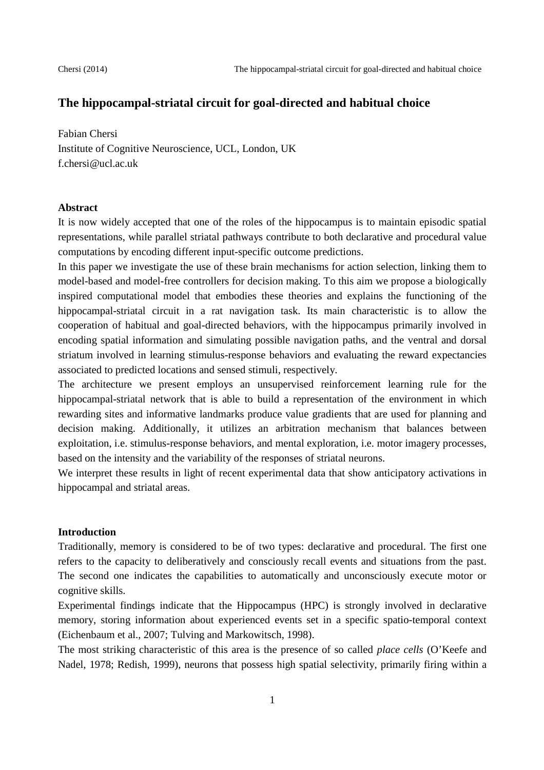# **The hippocampal-striatal circuit for goal-directed and habitual choice**

Fabian Chersi Institute of Cognitive Neuroscience, UCL, London, UK f.chersi@ucl.ac.uk

### **Abstract**

It is now widely accepted that one of the roles of the hippocampus is to maintain episodic spatial representations, while parallel striatal pathways contribute to both declarative and procedural value computations by encoding different input-specific outcome predictions.

In this paper we investigate the use of these brain mechanisms for action selection, linking them to model-based and model-free controllers for decision making. To this aim we propose a biologically inspired computational model that embodies these theories and explains the functioning of the hippocampal-striatal circuit in a rat navigation task. Its main characteristic is to allow the cooperation of habitual and goal-directed behaviors, with the hippocampus primarily involved in encoding spatial information and simulating possible navigation paths, and the ventral and dorsal striatum involved in learning stimulus-response behaviors and evaluating the reward expectancies associated to predicted locations and sensed stimuli, respectively.

The architecture we present employs an unsupervised reinforcement learning rule for the hippocampal-striatal network that is able to build a representation of the environment in which rewarding sites and informative landmarks produce value gradients that are used for planning and decision making. Additionally, it utilizes an arbitration mechanism that balances between exploitation, i.e. stimulus-response behaviors, and mental exploration, i.e. motor imagery processes, based on the intensity and the variability of the responses of striatal neurons.

We interpret these results in light of recent experimental data that show anticipatory activations in hippocampal and striatal areas.

## **Introduction**

Traditionally, memory is considered to be of two types: declarative and procedural. The first one refers to the capacity to deliberatively and consciously recall events and situations from the past. The second one indicates the capabilities to automatically and unconsciously execute motor or cognitive skills.

Experimental findings indicate that the Hippocampus (HPC) is strongly involved in declarative memory, storing information about experienced events set in a specific spatio-temporal context (Eichenbaum et al., 2007; Tulving and Markowitsch, 1998).

The most striking characteristic of this area is the presence of so called *place cells* (O'Keefe and Nadel, 1978; Redish, 1999)*,* neurons that possess high spatial selectivity, primarily firing within a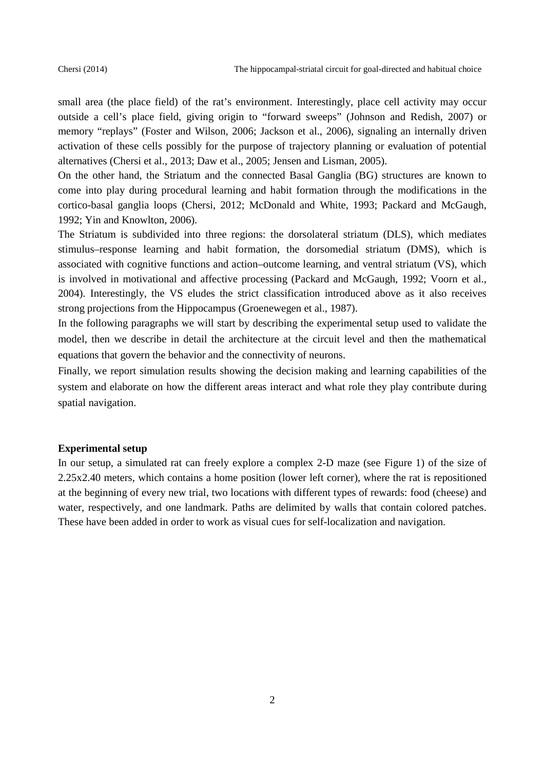small area (the place field) of the rat's environment. Interestingly, place cell activity may occur outside a cell's place field, giving origin to "forward sweeps" (Johnson and Redish, 2007) or memory "replays" (Foster and Wilson, 2006; Jackson et al., 2006), signaling an internally driven activation of these cells possibly for the purpose of trajectory planning or evaluation of potential alternatives (Chersi et al., 2013; Daw et al., 2005; Jensen and Lisman, 2005).

On the other hand, the Striatum and the connected Basal Ganglia (BG) structures are known to come into play during procedural learning and habit formation through the modifications in the cortico-basal ganglia loops (Chersi, 2012; McDonald and White, 1993; Packard and McGaugh, 1992; Yin and Knowlton, 2006).

The Striatum is subdivided into three regions: the dorsolateral striatum (DLS), which mediates stimulus–response learning and habit formation, the dorsomedial striatum (DMS), which is associated with cognitive functions and action–outcome learning, and ventral striatum (VS), which is involved in motivational and affective processing (Packard and McGaugh, 1992; Voorn et al., 2004). Interestingly, the VS eludes the strict classification introduced above as it also receives strong projections from the Hippocampus (Groenewegen et al., 1987).

In the following paragraphs we will start by describing the experimental setup used to validate the model, then we describe in detail the architecture at the circuit level and then the mathematical equations that govern the behavior and the connectivity of neurons.

Finally, we report simulation results showing the decision making and learning capabilities of the system and elaborate on how the different areas interact and what role they play contribute during spatial navigation.

#### **Experimental setup**

In our setup, a simulated rat can freely explore a complex 2-D maze (see Figure 1) of the size of 2.25x2.40 meters, which contains a home position (lower left corner), where the rat is repositioned at the beginning of every new trial, two locations with different types of rewards: food (cheese) and water, respectively, and one landmark. Paths are delimited by walls that contain colored patches. These have been added in order to work as visual cues for self-localization and navigation.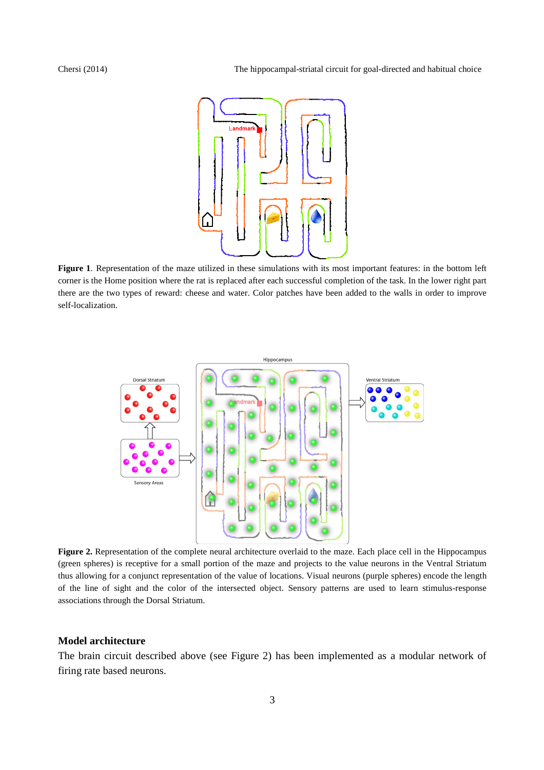

**Figure 1**. Representation of the maze utilized in these simulations with its most important features: in the bottom left corner is the Home position where the rat is replaced after each successful completion of the task. In the lower right part there are the two types of reward: cheese and water. Color patches have been added to the walls in order to improve self-localization.



**Figure 2.** Representation of the complete neural architecture overlaid to the maze. Each place cell in the Hippocampus (green spheres) is receptive for a small portion of the maze and projects to the value neurons in the Ventral Striatum thus allowing for a conjunct representation of the value of locations. Visual neurons (purple spheres) encode the length of the line of sight and the color of the intersected object. Sensory patterns are used to learn stimulus-response associations through the Dorsal Striatum.

### **Model architecture**

The brain circuit described above (see Figure 2) has been implemented as a modular network of firing rate based neurons.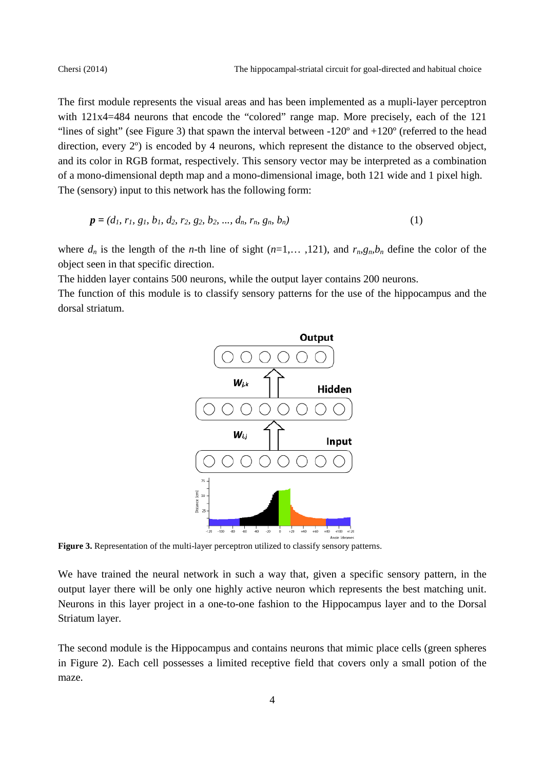The first module represents the visual areas and has been implemented as a mupli-layer perceptron with  $121x4=484$  neurons that encode the "colored" range map. More precisely, each of the 121 "lines of sight" (see Figure 3) that spawn the interval between  $-120^\circ$  and  $+120^\circ$  (referred to the head direction, every 2º) is encoded by 4 neurons, which represent the distance to the observed object, and its color in RGB format, respectively. This sensory vector may be interpreted as a combination of a mono-dimensional depth map and a mono-dimensional image, both 121 wide and 1 pixel high. The (sensory) input to this network has the following form:

$$
\mathbf{p} = (d_1, r_1, g_1, b_1, d_2, r_2, g_2, b_2, ..., d_n, r_n, g_n, b_n)
$$
(1)

where  $d_n$  is the length of the *n*-th line of sight ( $n=1,...,121$ ), and  $r_n g_n b_n$  define the color of the object seen in that specific direction.

The hidden layer contains 500 neurons, while the output layer contains 200 neurons.

The function of this module is to classify sensory patterns for the use of the hippocampus and the dorsal striatum.



**Figure 3.** Representation of the multi-layer perceptron utilized to classify sensory patterns.

We have trained the neural network in such a way that, given a specific sensory pattern, in the output layer there will be only one highly active neuron which represents the best matching unit. Neurons in this layer project in a one-to-one fashion to the Hippocampus layer and to the Dorsal Striatum layer.

The second module is the Hippocampus and contains neurons that mimic place cells (green spheres in Figure 2). Each cell possesses a limited receptive field that covers only a small potion of the maze.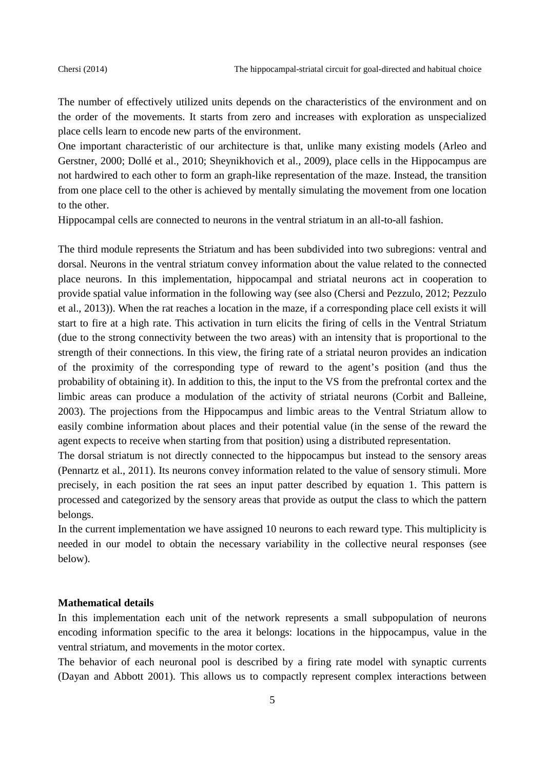The number of effectively utilized units depends on the characteristics of the environment and on the order of the movements. It starts from zero and increases with exploration as unspecialized place cells learn to encode new parts of the environment.

One important characteristic of our architecture is that, unlike many existing models (Arleo and Gerstner, 2000; Dollé et al., 2010; Sheynikhovich et al., 2009), place cells in the Hippocampus are not hardwired to each other to form an graph-like representation of the maze. Instead, the transition from one place cell to the other is achieved by mentally simulating the movement from one location to the other.

Hippocampal cells are connected to neurons in the ventral striatum in an all-to-all fashion.

The third module represents the Striatum and has been subdivided into two subregions: ventral and dorsal. Neurons in the ventral striatum convey information about the value related to the connected place neurons. In this implementation, hippocampal and striatal neurons act in cooperation to provide spatial value information in the following way (see also (Chersi and Pezzulo, 2012; Pezzulo et al., 2013)). When the rat reaches a location in the maze, if a corresponding place cell exists it will start to fire at a high rate. This activation in turn elicits the firing of cells in the Ventral Striatum (due to the strong connectivity between the two areas) with an intensity that is proportional to the strength of their connections. In this view, the firing rate of a striatal neuron provides an indication of the proximity of the corresponding type of reward to the agent's position (and thus the probability of obtaining it). In addition to this, the input to the VS from the prefrontal cortex and the limbic areas can produce a modulation of the activity of striatal neurons (Corbit and Balleine, 2003). The projections from the Hippocampus and limbic areas to the Ventral Striatum allow to easily combine information about places and their potential value (in the sense of the reward the agent expects to receive when starting from that position) using a distributed representation.

The dorsal striatum is not directly connected to the hippocampus but instead to the sensory areas (Pennartz et al., 2011). Its neurons convey information related to the value of sensory stimuli. More precisely, in each position the rat sees an input patter described by equation 1. This pattern is processed and categorized by the sensory areas that provide as output the class to which the pattern belongs.

In the current implementation we have assigned 10 neurons to each reward type. This multiplicity is needed in our model to obtain the necessary variability in the collective neural responses (see below).

## **Mathematical details**

In this implementation each unit of the network represents a small subpopulation of neurons encoding information specific to the area it belongs: locations in the hippocampus, value in the ventral striatum, and movements in the motor cortex.

The behavior of each neuronal pool is described by a firing rate model with synaptic currents (Dayan and Abbott 2001). This allows us to compactly represent complex interactions between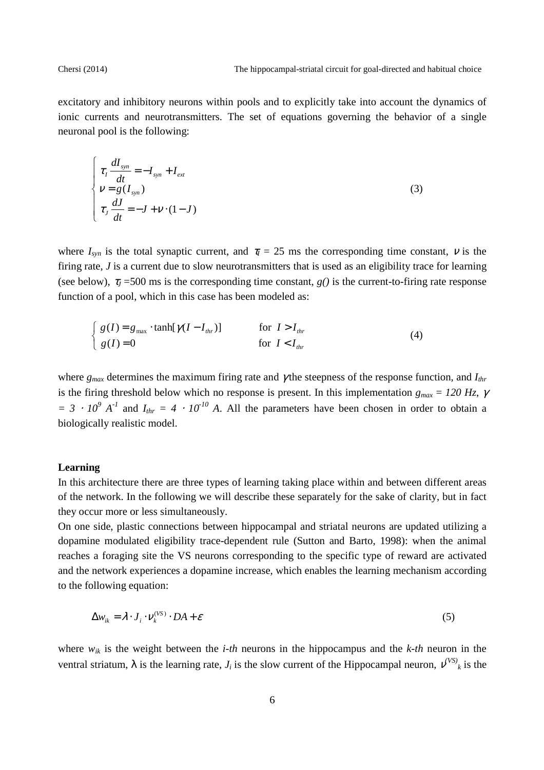excitatory and inhibitory neurons within pools and to explicitly take into account the dynamics of ionic currents and neurotransmitters. The set of equations governing the behavior of a single neuronal pool is the following:

$$
\begin{cases}\n\tau_I \frac{dI_{syn}}{dt} = -I_{syn} + I_{ext} \\
V = g(I_{syn}) \\
\tau_J \frac{dJ}{dt} = -J + V \cdot (1 - J)\n\end{cases}
$$
\n(3)

where  $I_{syn}$  is the total synaptic current, and  $\tau_I = 25$  ms the corresponding time constant,  $\nu$  is the firing rate, *J* is a current due to slow neurotransmitters that is used as an eligibility trace for learning (see below),  $\tau_J$  =500 ms is the corresponding time constant,  $g(t)$  is the current-to-firing rate response function of a pool, which in this case has been modeled as:

$$
\begin{cases}\ng(I) = g_{\text{max}} \cdot \tanh[\gamma(I - I_{\text{thr}})] & \text{for } I > I_{\text{thr}} \\
g(I) = 0 & \text{for } I < I_{\text{thr}}\n\end{cases}\n\tag{4}
$$

where *gmax* determines the maximum firing rate and γ the steepness of the response function, and *Ithr* is the firing threshold below which no response is present. In this implementation  $g_{max} = 120$  Hz,  $\gamma$  $= 3 \cdot 10^9$  *A*<sup>-1</sup> and  $I_{thr} = 4 \cdot 10^{-10}$  *A*. All the parameters have been chosen in order to obtain a biologically realistic model.

## **Learning**

In this architecture there are three types of learning taking place within and between different areas of the network. In the following we will describe these separately for the sake of clarity, but in fact they occur more or less simultaneously.

On one side, plastic connections between hippocampal and striatal neurons are updated utilizing a dopamine modulated eligibility trace-dependent rule (Sutton and Barto, 1998): when the animal reaches a foraging site the VS neurons corresponding to the specific type of reward are activated and the network experiences a dopamine increase, which enables the learning mechanism according to the following equation:

$$
\Delta w_{ik} = \lambda \cdot J_i \cdot V_k^{(VS)} \cdot DA + \varepsilon
$$
 (5)

where *wik* is the weight between the *i-th* neurons in the hippocampus and the *k-th* neuron in the ventral striatum,  $\lambda$  is the learning rate,  $J_i$  is the slow current of the Hippocampal neuron,  $v^{(VS)}_k$  is the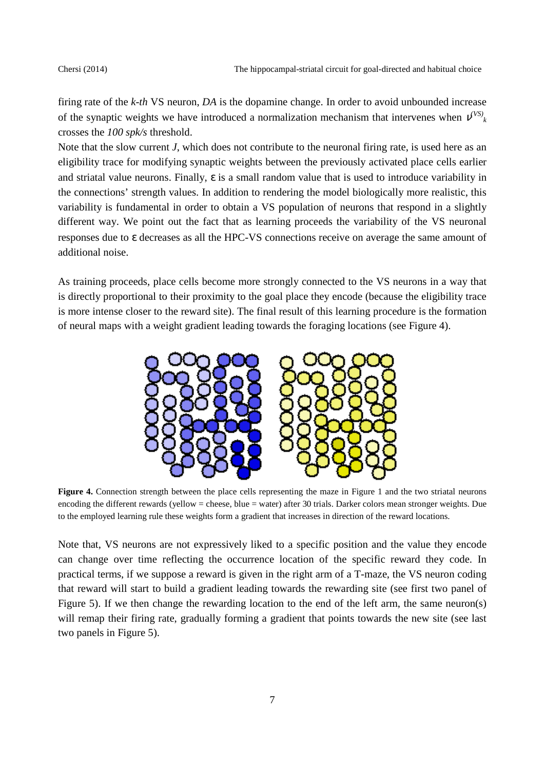firing rate of the *k-th* VS neuron, *DA* is the dopamine change. In order to avoid unbounded increase of the synaptic weights we have introduced a normalization mechanism that intervenes when  $v^{\text{(VS)}}_k$ crosses the *100 spk/s* threshold.

Note that the slow current *J*, which does not contribute to the neuronal firing rate, is used here as an eligibility trace for modifying synaptic weights between the previously activated place cells earlier and striatal value neurons. Finally,  $\varepsilon$  is a small random value that is used to introduce variability in the connections' strength values. In addition to rendering the model biologically more realistic, this variability is fundamental in order to obtain a VS population of neurons that respond in a slightly different way. We point out the fact that as learning proceeds the variability of the VS neuronal responses due to ε decreases as all the HPC-VS connections receive on average the same amount of additional noise.

As training proceeds, place cells become more strongly connected to the VS neurons in a way that is directly proportional to their proximity to the goal place they encode (because the eligibility trace is more intense closer to the reward site). The final result of this learning procedure is the formation of neural maps with a weight gradient leading towards the foraging locations (see Figure 4).



**Figure 4.** Connection strength between the place cells representing the maze in Figure 1 and the two striatal neurons encoding the different rewards (yellow = cheese, blue = water) after 30 trials. Darker colors mean stronger weights. Due to the employed learning rule these weights form a gradient that increases in direction of the reward locations.

Note that, VS neurons are not expressively liked to a specific position and the value they encode can change over time reflecting the occurrence location of the specific reward they code. In practical terms, if we suppose a reward is given in the right arm of a T-maze, the VS neuron coding that reward will start to build a gradient leading towards the rewarding site (see first two panel of Figure 5). If we then change the rewarding location to the end of the left arm, the same neuron(s) will remap their firing rate, gradually forming a gradient that points towards the new site (see last two panels in Figure 5).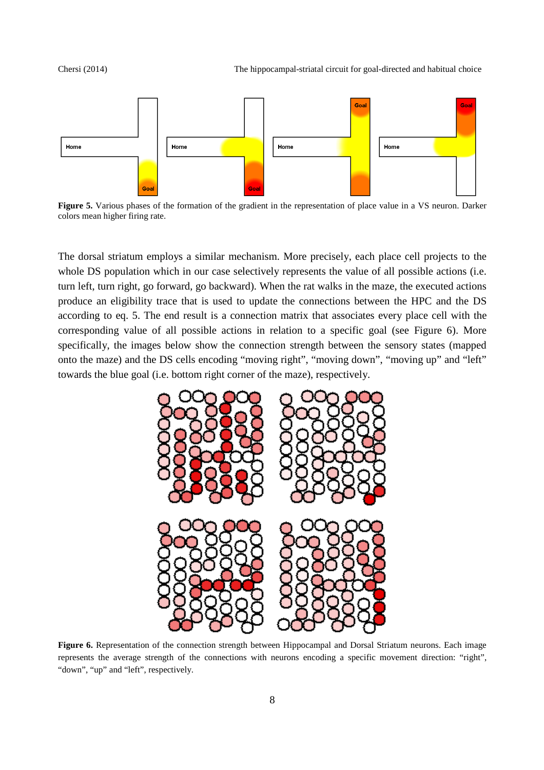Chersi (2014) The hippocampal-striatal circuit for goal-directed and habitual choice



**Figure 5.** Various phases of the formation of the gradient in the representation of place value in a VS neuron. Darker colors mean higher firing rate.

The dorsal striatum employs a similar mechanism. More precisely, each place cell projects to the whole DS population which in our case selectively represents the value of all possible actions (i.e. turn left, turn right, go forward, go backward). When the rat walks in the maze, the executed actions produce an eligibility trace that is used to update the connections between the HPC and the DS according to eq. 5. The end result is a connection matrix that associates every place cell with the corresponding value of all possible actions in relation to a specific goal (see Figure 6). More specifically, the images below show the connection strength between the sensory states (mapped onto the maze) and the DS cells encoding "moving right", "moving down", "moving up" and "left" towards the blue goal (i.e. bottom right corner of the maze), respectively.



**Figure 6.** Representation of the connection strength between Hippocampal and Dorsal Striatum neurons. Each image represents the average strength of the connections with neurons encoding a specific movement direction: "right", "down", "up" and "left", respectively.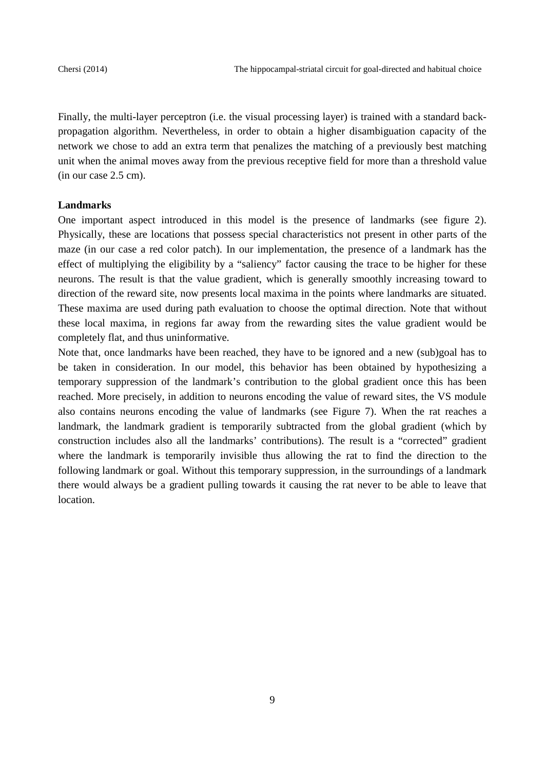Finally, the multi-layer perceptron (i.e. the visual processing layer) is trained with a standard backpropagation algorithm. Nevertheless, in order to obtain a higher disambiguation capacity of the network we chose to add an extra term that penalizes the matching of a previously best matching unit when the animal moves away from the previous receptive field for more than a threshold value (in our case 2.5 cm).

## **Landmarks**

One important aspect introduced in this model is the presence of landmarks (see figure 2). Physically, these are locations that possess special characteristics not present in other parts of the maze (in our case a red color patch). In our implementation, the presence of a landmark has the effect of multiplying the eligibility by a "saliency" factor causing the trace to be higher for these neurons. The result is that the value gradient, which is generally smoothly increasing toward to direction of the reward site, now presents local maxima in the points where landmarks are situated. These maxima are used during path evaluation to choose the optimal direction. Note that without these local maxima, in regions far away from the rewarding sites the value gradient would be completely flat, and thus uninformative.

Note that, once landmarks have been reached, they have to be ignored and a new (sub)goal has to be taken in consideration. In our model, this behavior has been obtained by hypothesizing a temporary suppression of the landmark's contribution to the global gradient once this has been reached. More precisely, in addition to neurons encoding the value of reward sites, the VS module also contains neurons encoding the value of landmarks (see Figure 7). When the rat reaches a landmark, the landmark gradient is temporarily subtracted from the global gradient (which by construction includes also all the landmarks' contributions). The result is a "corrected" gradient where the landmark is temporarily invisible thus allowing the rat to find the direction to the following landmark or goal. Without this temporary suppression, in the surroundings of a landmark there would always be a gradient pulling towards it causing the rat never to be able to leave that location.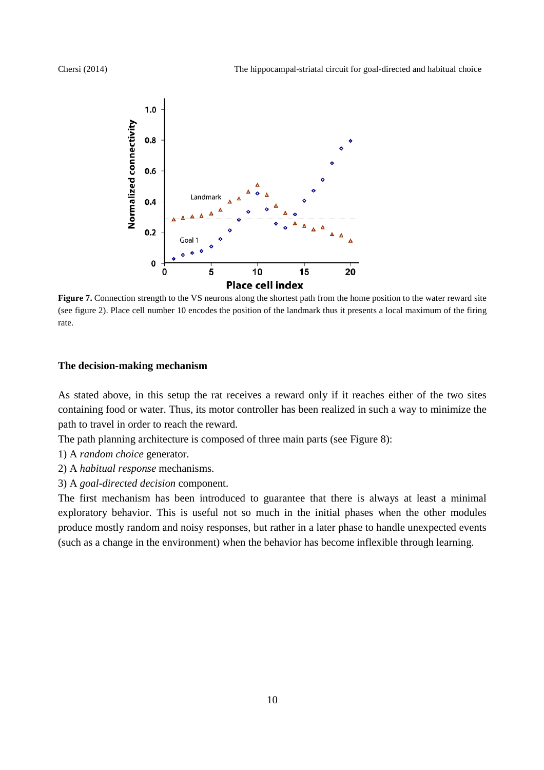

**Figure 7.** Connection strength to the VS neurons along the shortest path from the home position to the water reward site (see figure 2). Place cell number 10 encodes the position of the landmark thus it presents a local maximum of the firing rate.

## **The decision-making mechanism**

As stated above, in this setup the rat receives a reward only if it reaches either of the two sites containing food or water. Thus, its motor controller has been realized in such a way to minimize the path to travel in order to reach the reward.

The path planning architecture is composed of three main parts (see Figure 8):

- 1) A *random choice* generator.
- 2) A *habitual response* mechanisms.
- 3) A *goal-directed decision* component.

The first mechanism has been introduced to guarantee that there is always at least a minimal exploratory behavior. This is useful not so much in the initial phases when the other modules produce mostly random and noisy responses, but rather in a later phase to handle unexpected events (such as a change in the environment) when the behavior has become inflexible through learning.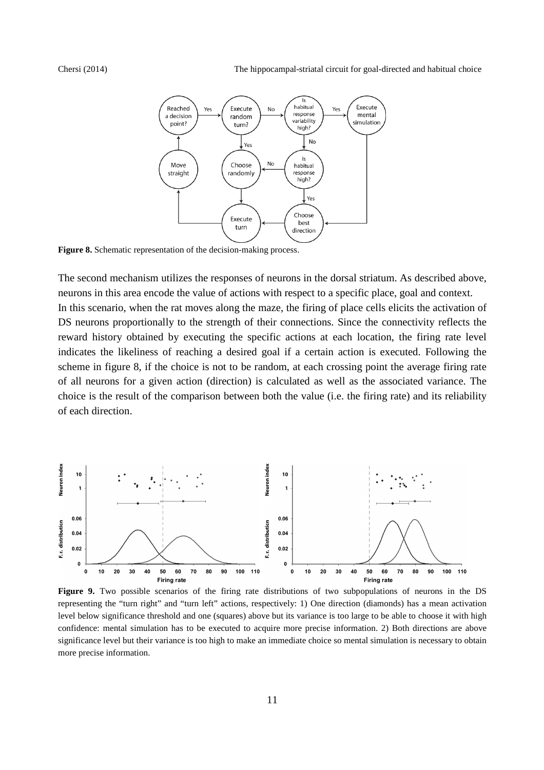Chersi (2014) The hippocampal-striatal circuit for goal-directed and habitual choice



**Figure 8.** Schematic representation of the decision-making process.

The second mechanism utilizes the responses of neurons in the dorsal striatum. As described above, neurons in this area encode the value of actions with respect to a specific place, goal and context. In this scenario, when the rat moves along the maze, the firing of place cells elicits the activation of DS neurons proportionally to the strength of their connections. Since the connectivity reflects the reward history obtained by executing the specific actions at each location, the firing rate level indicates the likeliness of reaching a desired goal if a certain action is executed. Following the scheme in figure 8, if the choice is not to be random, at each crossing point the average firing rate of all neurons for a given action (direction) is calculated as well as the associated variance. The choice is the result of the comparison between both the value (i.e. the firing rate) and its reliability of each direction.



**Figure 9.** Two possible scenarios of the firing rate distributions of two subpopulations of neurons in the DS representing the "turn right" and "turn left" actions, respectively: 1) One direction (diamonds) has a mean activation level below significance threshold and one (squares) above but its variance is too large to be able to choose it with high confidence: mental simulation has to be executed to acquire more precise information. 2) Both directions are above significance level but their variance is too high to make an immediate choice so mental simulation is necessary to obtain more precise information.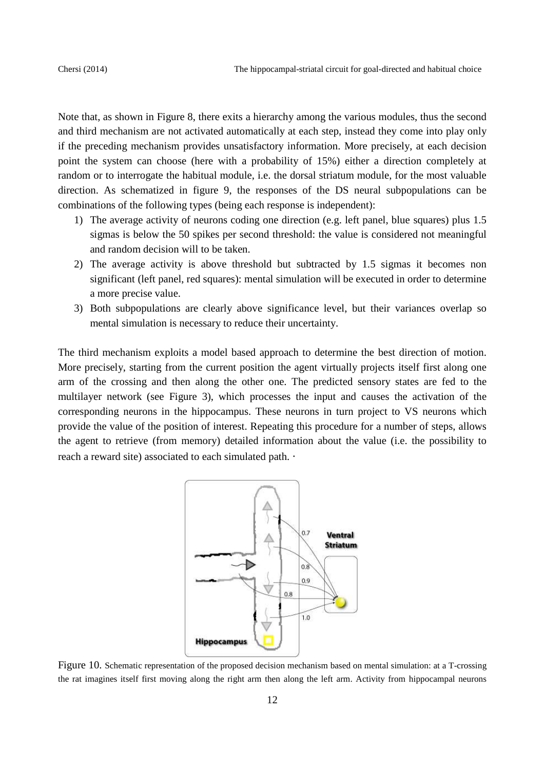Note that, as shown in Figure 8, there exits a hierarchy among the various modules, thus the second and third mechanism are not activated automatically at each step, instead they come into play only if the preceding mechanism provides unsatisfactory information. More precisely, at each decision point the system can choose (here with a probability of 15%) either a direction completely at random or to interrogate the habitual module, i.e. the dorsal striatum module, for the most valuable direction. As schematized in figure 9, the responses of the DS neural subpopulations can be combinations of the following types (being each response is independent):

- 1) The average activity of neurons coding one direction (e.g. left panel, blue squares) plus 1.5 sigmas is below the 50 spikes per second threshold: the value is considered not meaningful and random decision will to be taken.
- 2) The average activity is above threshold but subtracted by 1.5 sigmas it becomes non significant (left panel, red squares): mental simulation will be executed in order to determine a more precise value.
- 3) Both subpopulations are clearly above significance level, but their variances overlap so mental simulation is necessary to reduce their uncertainty.

The third mechanism exploits a model based approach to determine the best direction of motion. More precisely, starting from the current position the agent virtually projects itself first along one arm of the crossing and then along the other one. The predicted sensory states are fed to the multilayer network (see Figure 3), which processes the input and causes the activation of the corresponding neurons in the hippocampus. These neurons in turn project to VS neurons which provide the value of the position of interest. Repeating this procedure for a number of steps, allows the agent to retrieve (from memory) detailed information about the value (i.e. the possibility to reach a reward site) associated to each simulated path. ⋅



Figure 10. Schematic representation of the proposed decision mechanism based on mental simulation: at a T-crossing the rat imagines itself first moving along the right arm then along the left arm. Activity from hippocampal neurons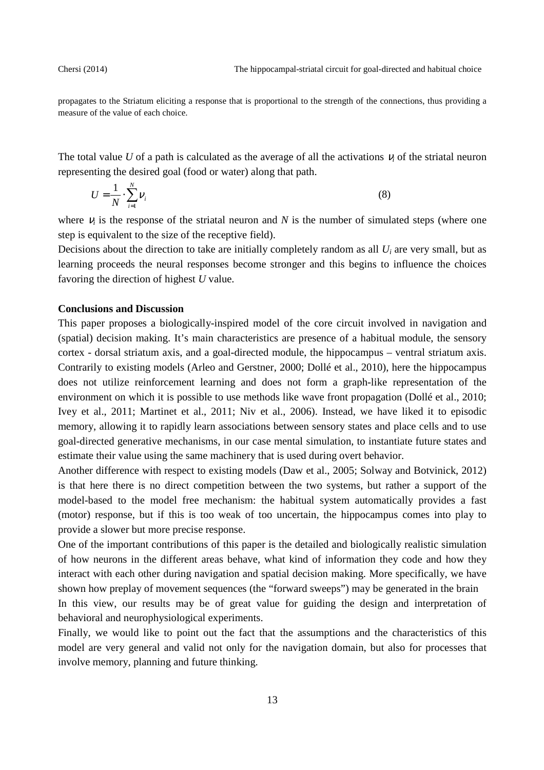propagates to the Striatum eliciting a response that is proportional to the strength of the connections, thus providing a measure of the value of each choice.

The total value  $U$  of a path is calculated as the average of all the activations  $V_i$  of the striatal neuron representing the desired goal (food or water) along that path.

$$
U = \frac{1}{N} \cdot \sum_{i=1}^{N} \nu_i
$$
 (8)

where  $v_i$  is the response of the striatal neuron and  $N$  is the number of simulated steps (where one step is equivalent to the size of the receptive field).

Decisions about the direction to take are initially completely random as all  $U_i$  are very small, but as learning proceeds the neural responses become stronger and this begins to influence the choices favoring the direction of highest *U* value.

### **Conclusions and Discussion**

This paper proposes a biologically-inspired model of the core circuit involved in navigation and (spatial) decision making. It's main characteristics are presence of a habitual module, the sensory cortex - dorsal striatum axis, and a goal-directed module, the hippocampus – ventral striatum axis. Contrarily to existing models (Arleo and Gerstner, 2000; Dollé et al., 2010), here the hippocampus does not utilize reinforcement learning and does not form a graph-like representation of the environment on which it is possible to use methods like wave front propagation (Dollé et al., 2010; Ivey et al., 2011; Martinet et al., 2011; Niv et al., 2006). Instead, we have liked it to episodic memory, allowing it to rapidly learn associations between sensory states and place cells and to use goal-directed generative mechanisms, in our case mental simulation, to instantiate future states and estimate their value using the same machinery that is used during overt behavior.

Another difference with respect to existing models (Daw et al., 2005; Solway and Botvinick, 2012) is that here there is no direct competition between the two systems, but rather a support of the model-based to the model free mechanism: the habitual system automatically provides a fast (motor) response, but if this is too weak of too uncertain, the hippocampus comes into play to provide a slower but more precise response.

One of the important contributions of this paper is the detailed and biologically realistic simulation of how neurons in the different areas behave, what kind of information they code and how they interact with each other during navigation and spatial decision making. More specifically, we have shown how preplay of movement sequences (the "forward sweeps") may be generated in the brain In this view, our results may be of great value for guiding the design and interpretation of

behavioral and neurophysiological experiments.

Finally, we would like to point out the fact that the assumptions and the characteristics of this model are very general and valid not only for the navigation domain, but also for processes that involve memory, planning and future thinking.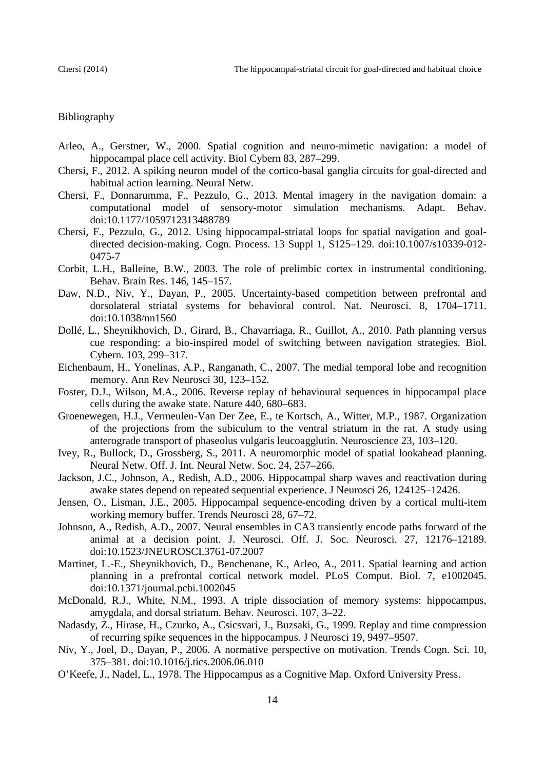# Bibliography

- Arleo, A., Gerstner, W., 2000. Spatial cognition and neuro-mimetic navigation: a model of hippocampal place cell activity. Biol Cybern 83, 287–299.
- Chersi, F., 2012. A spiking neuron model of the cortico-basal ganglia circuits for goal-directed and habitual action learning. Neural Netw.
- Chersi, F., Donnarumma, F., Pezzulo, G., 2013. Mental imagery in the navigation domain: a computational model of sensory-motor simulation mechanisms. Adapt. Behav. doi:10.1177/1059712313488789
- Chersi, F., Pezzulo, G., 2012. Using hippocampal-striatal loops for spatial navigation and goaldirected decision-making. Cogn. Process. 13 Suppl 1, S125–129. doi:10.1007/s10339-012- 0475-7
- Corbit, L.H., Balleine, B.W., 2003. The role of prelimbic cortex in instrumental conditioning. Behav. Brain Res. 146, 145–157.
- Daw, N.D., Niv, Y., Dayan, P., 2005. Uncertainty-based competition between prefrontal and dorsolateral striatal systems for behavioral control. Nat. Neurosci. 8, 1704–1711. doi:10.1038/nn1560
- Dollé, L., Sheynikhovich, D., Girard, B., Chavarriaga, R., Guillot, A., 2010. Path planning versus cue responding: a bio-inspired model of switching between navigation strategies. Biol. Cybern. 103, 299–317.
- Eichenbaum, H., Yonelinas, A.P., Ranganath, C., 2007. The medial temporal lobe and recognition memory. Ann Rev Neurosci 30, 123–152.
- Foster, D.J., Wilson, M.A., 2006. Reverse replay of behavioural sequences in hippocampal place cells during the awake state. Nature 440, 680–683.
- Groenewegen, H.J., Vermeulen-Van Der Zee, E., te Kortsch, A., Witter, M.P., 1987. Organization of the projections from the subiculum to the ventral striatum in the rat. A study using anterograde transport of phaseolus vulgaris leucoagglutin. Neuroscience 23, 103–120.
- Ivey, R., Bullock, D., Grossberg, S., 2011. A neuromorphic model of spatial lookahead planning. Neural Netw. Off. J. Int. Neural Netw. Soc. 24, 257–266.
- Jackson, J.C., Johnson, A., Redish, A.D., 2006. Hippocampal sharp waves and reactivation during awake states depend on repeated sequential experience. J Neurosci 26, 124125–12426.
- Jensen, O., Lisman, J.E., 2005. Hippocampal sequence-encoding driven by a cortical multi-item working memory buffer. Trends Neurosci 28, 67–72.
- Johnson, A., Redish, A.D., 2007. Neural ensembles in CA3 transiently encode paths forward of the animal at a decision point. J. Neurosci. Off. J. Soc. Neurosci. 27, 12176–12189. doi:10.1523/JNEUROSCI.3761-07.2007
- Martinet, L.-E., Sheynikhovich, D., Benchenane, K., Arleo, A., 2011. Spatial learning and action planning in a prefrontal cortical network model. PLoS Comput. Biol. 7, e1002045. doi:10.1371/journal.pcbi.1002045
- McDonald, R.J., White, N.M., 1993. A triple dissociation of memory systems: hippocampus, amygdala, and dorsal striatum. Behav. Neurosci. 107, 3–22.
- Nadasdy, Z., Hirase, H., Czurko, A., Csicsvari, J., Buzsaki, G., 1999. Replay and time compression of recurring spike sequences in the hippocampus. J Neurosci 19, 9497–9507.
- Niv, Y., Joel, D., Dayan, P., 2006. A normative perspective on motivation. Trends Cogn. Sci. 10, 375–381. doi:10.1016/j.tics.2006.06.010
- O'Keefe, J., Nadel, L., 1978. The Hippocampus as a Cognitive Map. Oxford University Press.